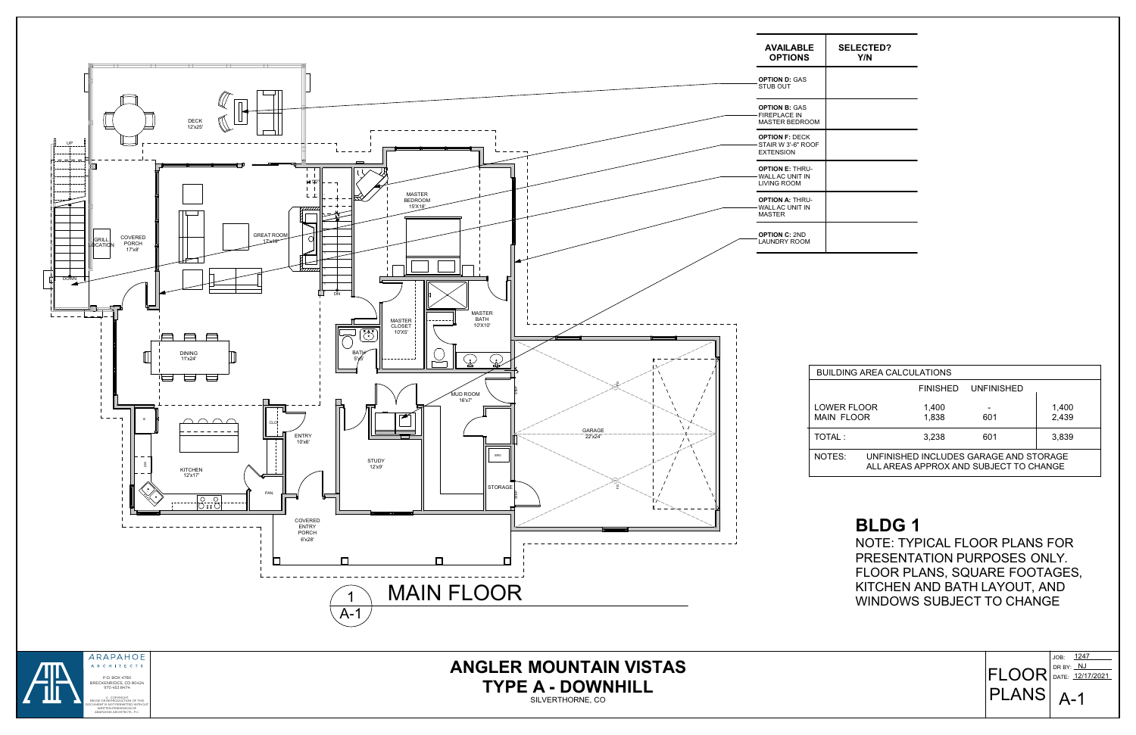

**ANGLER MOUNTAIN VISTAS TYPE A - DOWNHILL**

SILVERTHORNE, CO

| <b>BUILDING AREA CALCULATIONS</b>                                                                                                                                                        |                                                                                  |                              |                                                      |  |  |  |
|------------------------------------------------------------------------------------------------------------------------------------------------------------------------------------------|----------------------------------------------------------------------------------|------------------------------|------------------------------------------------------|--|--|--|
|                                                                                                                                                                                          | FINISHED                                                                         | <b>UNFINISHED</b>            |                                                      |  |  |  |
| <b>LOWER FLOOR</b><br><b>MAIN FLOOR</b>                                                                                                                                                  | 1,400<br>1,838                                                                   | 601                          | 1,400<br>2,439                                       |  |  |  |
| TOTAL:                                                                                                                                                                                   | 3,238                                                                            | 601                          | 3,839                                                |  |  |  |
| NOTES:                                                                                                                                                                                   | UNFINISHED INCLUDES GARAGE AND STORAGE<br>ALL AREAS APPROX AND SUBJECT TO CHANGE |                              |                                                      |  |  |  |
| <b>BLDG1</b><br><b>NOTE: TYPICAL FLOOR PLANS FOR</b><br>PRESENTATION PURPOSES ONLY.<br>FLOOR PLANS, SQUARE FOOTAGES,<br>KITCHEN AND BATH LAYOUT, AND<br><b>WINDOWS SUBJECT TO CHANGE</b> |                                                                                  |                              |                                                      |  |  |  |
|                                                                                                                                                                                          |                                                                                  | <b>FLOOR</b><br><b>PLANS</b> | 1247<br>JOB:<br>DR BY: NJ<br>DATE: 12/17/2021<br>А-1 |  |  |  |
|                                                                                                                                                                                          |                                                                                  |                              |                                                      |  |  |  |

**Y/N**